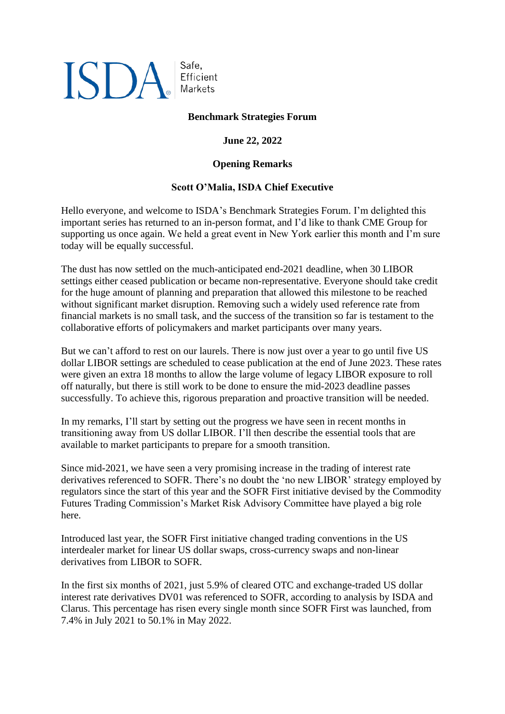## **ISDA**

Safe, Efficient Markets

## **Benchmark Strategies Forum**

**June 22, 2022**

## **Opening Remarks**

## **Scott O'Malia, ISDA Chief Executive**

Hello everyone, and welcome to ISDA's Benchmark Strategies Forum. I'm delighted this important series has returned to an in-person format, and I'd like to thank CME Group for supporting us once again. We held a great event in New York earlier this month and I'm sure today will be equally successful.

The dust has now settled on the much-anticipated end-2021 deadline, when 30 LIBOR settings either ceased publication or became non-representative. Everyone should take credit for the huge amount of planning and preparation that allowed this milestone to be reached without significant market disruption. Removing such a widely used reference rate from financial markets is no small task, and the success of the transition so far is testament to the collaborative efforts of policymakers and market participants over many years.

But we can't afford to rest on our laurels. There is now just over a year to go until five US dollar LIBOR settings are scheduled to cease publication at the end of June 2023. These rates were given an extra 18 months to allow the large volume of legacy LIBOR exposure to roll off naturally, but there is still work to be done to ensure the mid-2023 deadline passes successfully. To achieve this, rigorous preparation and proactive transition will be needed.

In my remarks, I'll start by setting out the progress we have seen in recent months in transitioning away from US dollar LIBOR. I'll then describe the essential tools that are available to market participants to prepare for a smooth transition.

Since mid-2021, we have seen a very promising increase in the trading of interest rate derivatives referenced to SOFR. There's no doubt the 'no new LIBOR' strategy employed by regulators since the start of this year and the SOFR First initiative devised by the Commodity Futures Trading Commission's Market Risk Advisory Committee have played a big role here.

Introduced last year, the SOFR First initiative changed trading conventions in the US interdealer market for linear US dollar swaps, cross-currency swaps and non-linear derivatives from LIBOR to SOFR.

In the first six months of 2021, just 5.9% of cleared OTC and exchange-traded US dollar interest rate derivatives DV01 was referenced to SOFR, according to analysis by ISDA and Clarus. This percentage has risen every single month since SOFR First was launched, from 7.4% in July 2021 to 50.1% in May 2022.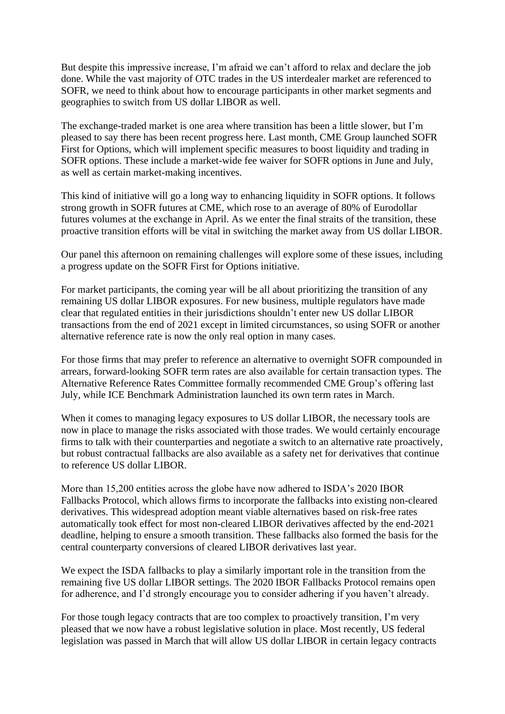But despite this impressive increase, I'm afraid we can't afford to relax and declare the job done. While the vast majority of OTC trades in the US interdealer market are referenced to SOFR, we need to think about how to encourage participants in other market segments and geographies to switch from US dollar LIBOR as well.

The exchange-traded market is one area where transition has been a little slower, but I'm pleased to say there has been recent progress here. Last month, CME Group launched SOFR First for Options, which will implement specific measures to boost liquidity and trading in SOFR options. These include a market-wide fee waiver for SOFR options in June and July, as well as certain market-making incentives.

This kind of initiative will go a long way to enhancing liquidity in SOFR options. It follows strong growth in SOFR futures at CME, which rose to an average of 80% of Eurodollar futures volumes at the exchange in April. As we enter the final straits of the transition, these proactive transition efforts will be vital in switching the market away from US dollar LIBOR.

Our panel this afternoon on remaining challenges will explore some of these issues, including a progress update on the SOFR First for Options initiative.

For market participants, the coming year will be all about prioritizing the transition of any remaining US dollar LIBOR exposures. For new business, multiple regulators have made clear that regulated entities in their jurisdictions shouldn't enter new US dollar LIBOR transactions from the end of 2021 except in limited circumstances, so using SOFR or another alternative reference rate is now the only real option in many cases.

For those firms that may prefer to reference an alternative to overnight SOFR compounded in arrears, forward-looking SOFR term rates are also available for certain transaction types. The Alternative Reference Rates Committee formally recommended CME Group's offering last July, while ICE Benchmark Administration launched its own term rates in March.

When it comes to managing legacy exposures to US dollar LIBOR, the necessary tools are now in place to manage the risks associated with those trades. We would certainly encourage firms to talk with their counterparties and negotiate a switch to an alternative rate proactively, but robust contractual fallbacks are also available as a safety net for derivatives that continue to reference US dollar LIBOR.

More than 15,200 entities across the globe have now adhered to ISDA's 2020 IBOR Fallbacks Protocol, which allows firms to incorporate the fallbacks into existing non-cleared derivatives. This widespread adoption meant viable alternatives based on risk-free rates automatically took effect for most non-cleared LIBOR derivatives affected by the end-2021 deadline, helping to ensure a smooth transition. These fallbacks also formed the basis for the central counterparty conversions of cleared LIBOR derivatives last year.

We expect the ISDA fallbacks to play a similarly important role in the transition from the remaining five US dollar LIBOR settings. The 2020 IBOR Fallbacks Protocol remains open for adherence, and I'd strongly encourage you to consider adhering if you haven't already.

For those tough legacy contracts that are too complex to proactively transition, I'm very pleased that we now have a robust legislative solution in place. Most recently, US federal legislation was passed in March that will allow US dollar LIBOR in certain legacy contracts